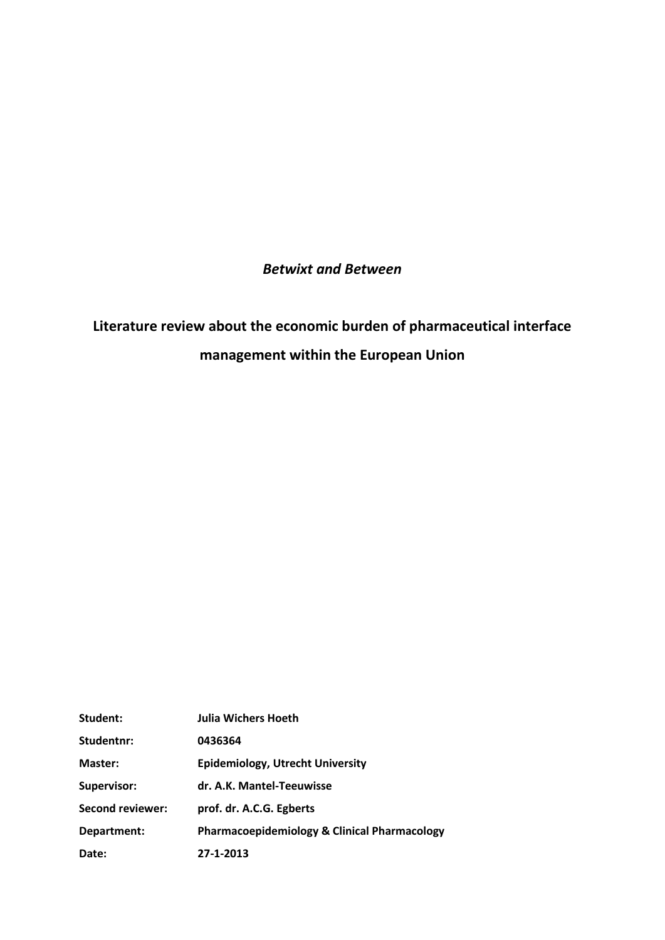*Betwixt and Between* 

# **Literature review about the economic burden of pharmaceutical interface management within the European Union**

| Student:                | <b>Julia Wichers Hoeth</b>                              |
|-------------------------|---------------------------------------------------------|
| Studentnr:              | 0436364                                                 |
| Master:                 | <b>Epidemiology, Utrecht University</b>                 |
| Supervisor:             | dr. A.K. Mantel-Teeuwisse                               |
| <b>Second reviewer:</b> | prof. dr. A.C.G. Egberts                                |
| Department:             | <b>Pharmacoepidemiology &amp; Clinical Pharmacology</b> |
| Date:                   | 27-1-2013                                               |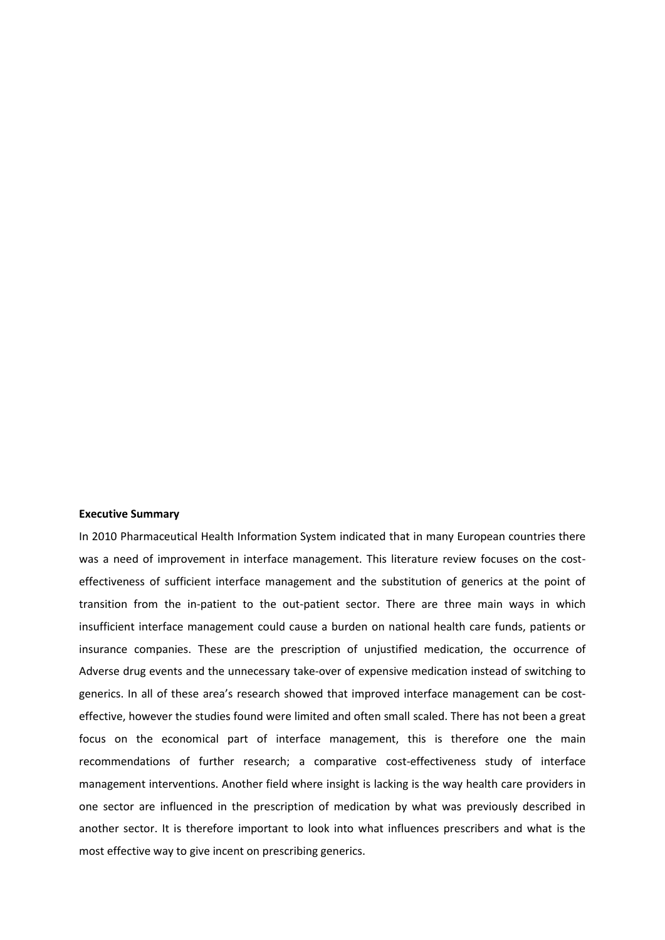## **Executive Summary**

In 2010 Pharmaceutical Health Information System indicated that in many European countries there was a need of improvement in interface management. This literature review focuses on the costeffectiveness of sufficient interface management and the substitution of generics at the point of transition from the in-patient to the out-patient sector. There are three main ways in which insufficient interface management could cause a burden on national health care funds, patients or insurance companies. These are the prescription of unjustified medication, the occurrence of Adverse drug events and the unnecessary take-over of expensive medication instead of switching to generics. In all of these area's research showed that improved interface management can be costeffective, however the studies found were limited and often small scaled. There has not been a great focus on the economical part of interface management, this is therefore one the main recommendations of further research; a comparative cost-effectiveness study of interface management interventions. Another field where insight is lacking is the way health care providers in one sector are influenced in the prescription of medication by what was previously described in another sector. It is therefore important to look into what influences prescribers and what is the most effective way to give incent on prescribing generics.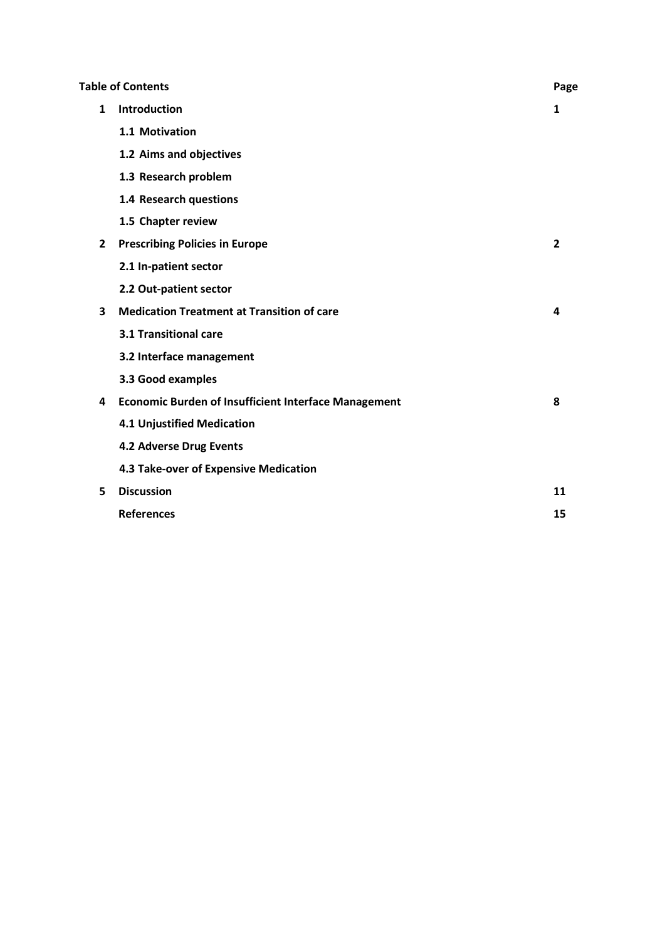## **Table of Contents Page**

| 1            | <b>Introduction</b>                                         | 1              |
|--------------|-------------------------------------------------------------|----------------|
|              | 1.1 Motivation                                              |                |
|              | 1.2 Aims and objectives                                     |                |
|              | 1.3 Research problem                                        |                |
|              | 1.4 Research questions                                      |                |
|              | 1.5 Chapter review                                          |                |
| $\mathbf{2}$ | <b>Prescribing Policies in Europe</b>                       | $\overline{2}$ |
|              | 2.1 In-patient sector                                       |                |
|              | 2.2 Out-patient sector                                      |                |
| 3            | <b>Medication Treatment at Transition of care</b>           | 4              |
|              | <b>3.1 Transitional care</b>                                |                |
|              | 3.2 Interface management                                    |                |
|              | 3.3 Good examples                                           |                |
| 4            | <b>Economic Burden of Insufficient Interface Management</b> | 8              |
|              | <b>4.1 Unjustified Medication</b>                           |                |
|              | <b>4.2 Adverse Drug Events</b>                              |                |
|              | 4.3 Take-over of Expensive Medication                       |                |
| 5            | <b>Discussion</b>                                           | 11             |
|              | <b>References</b>                                           | 15             |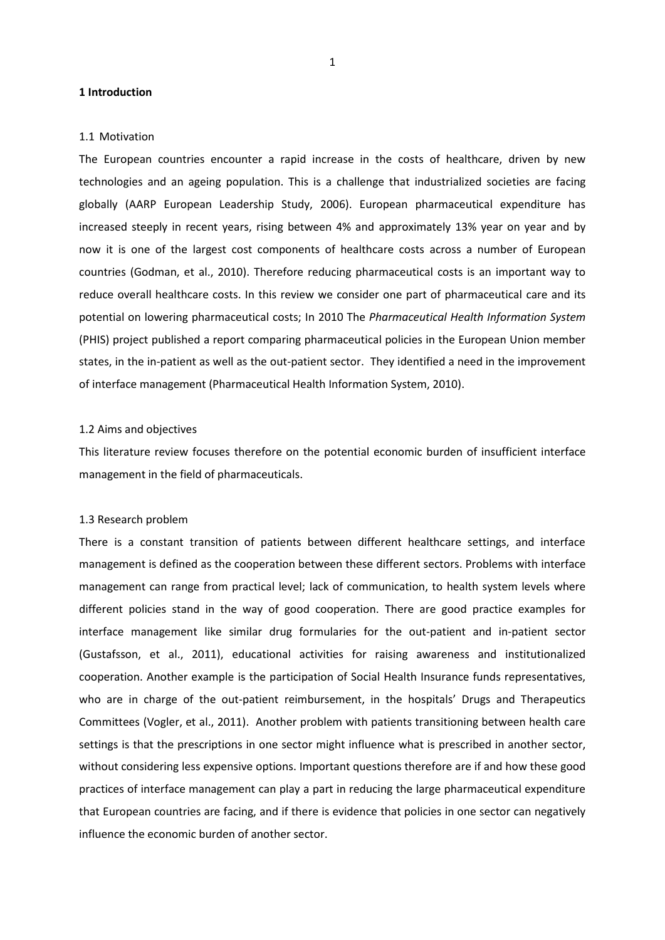## **1 Introduction**

#### 1.1 Motivation

The European countries encounter a rapid increase in the costs of healthcare, driven by new technologies and an ageing population. This is a challenge that industrialized societies are facing globally (AARP European Leadership Study, 2006). European pharmaceutical expenditure has increased steeply in recent years, rising between 4% and approximately 13% year on year and by now it is one of the largest cost components of healthcare costs across a number of European countries (Godman, et al., 2010). Therefore reducing pharmaceutical costs is an important way to reduce overall healthcare costs. In this review we consider one part of pharmaceutical care and its potential on lowering pharmaceutical costs; In 2010 The *Pharmaceutical Health Information System* (PHIS) project published a report comparing pharmaceutical policies in the European Union member states, in the in-patient as well as the out-patient sector. They identified a need in the improvement of interface management (Pharmaceutical Health Information System, 2010).

## 1.2 Aims and objectives

This literature review focuses therefore on the potential economic burden of insufficient interface management in the field of pharmaceuticals.

## 1.3 Research problem

There is a constant transition of patients between different healthcare settings, and interface management is defined as the cooperation between these different sectors. Problems with interface management can range from practical level; lack of communication, to health system levels where different policies stand in the way of good cooperation. There are good practice examples for interface management like similar drug formularies for the out-patient and in-patient sector (Gustafsson, et al., 2011), educational activities for raising awareness and institutionalized cooperation. Another example is the participation of Social Health Insurance funds representatives, who are in charge of the out-patient reimbursement, in the hospitals' Drugs and Therapeutics Committees (Vogler, et al., 2011). Another problem with patients transitioning between health care settings is that the prescriptions in one sector might influence what is prescribed in another sector, without considering less expensive options. Important questions therefore are if and how these good practices of interface management can play a part in reducing the large pharmaceutical expenditure that European countries are facing, and if there is evidence that policies in one sector can negatively influence the economic burden of another sector.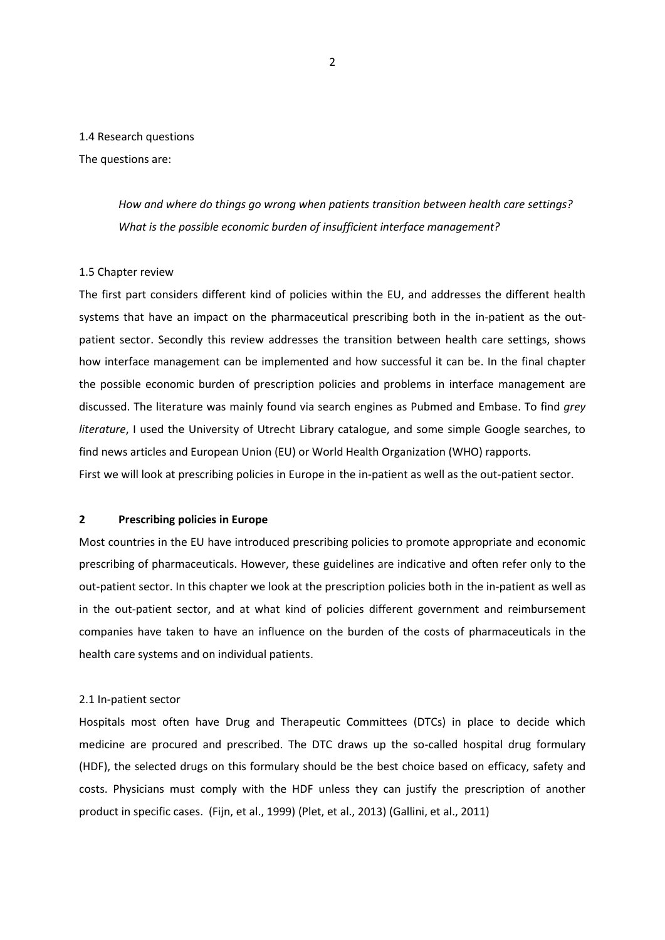### 1.4 Research questions

The questions are:

*How and where do things go wrong when patients transition between health care settings? What is the possible economic burden of insufficient interface management?*

## 1.5 Chapter review

The first part considers different kind of policies within the EU, and addresses the different health systems that have an impact on the pharmaceutical prescribing both in the in-patient as the outpatient sector. Secondly this review addresses the transition between health care settings, shows how interface management can be implemented and how successful it can be. In the final chapter the possible economic burden of prescription policies and problems in interface management are discussed. The literature was mainly found via search engines as Pubmed and Embase. To find *grey literature*, I used the University of Utrecht Library catalogue, and some simple Google searches, to find news articles and European Union (EU) or World Health Organization (WHO) rapports. First we will look at prescribing policies in Europe in the in-patient as well as the out-patient sector.

## **2 Prescribing policies in Europe**

Most countries in the EU have introduced prescribing policies to promote appropriate and economic prescribing of pharmaceuticals. However, these guidelines are indicative and often refer only to the out-patient sector. In this chapter we look at the prescription policies both in the in-patient as well as in the out-patient sector, and at what kind of policies different government and reimbursement companies have taken to have an influence on the burden of the costs of pharmaceuticals in the health care systems and on individual patients.

### 2.1 In-patient sector

Hospitals most often have Drug and Therapeutic Committees (DTCs) in place to decide which medicine are procured and prescribed. The DTC draws up the so-called hospital drug formulary (HDF), the selected drugs on this formulary should be the best choice based on efficacy, safety and costs. Physicians must comply with the HDF unless they can justify the prescription of another product in specific cases. (Fijn, et al., 1999) (Plet, et al., 2013) (Gallini, et al., 2011)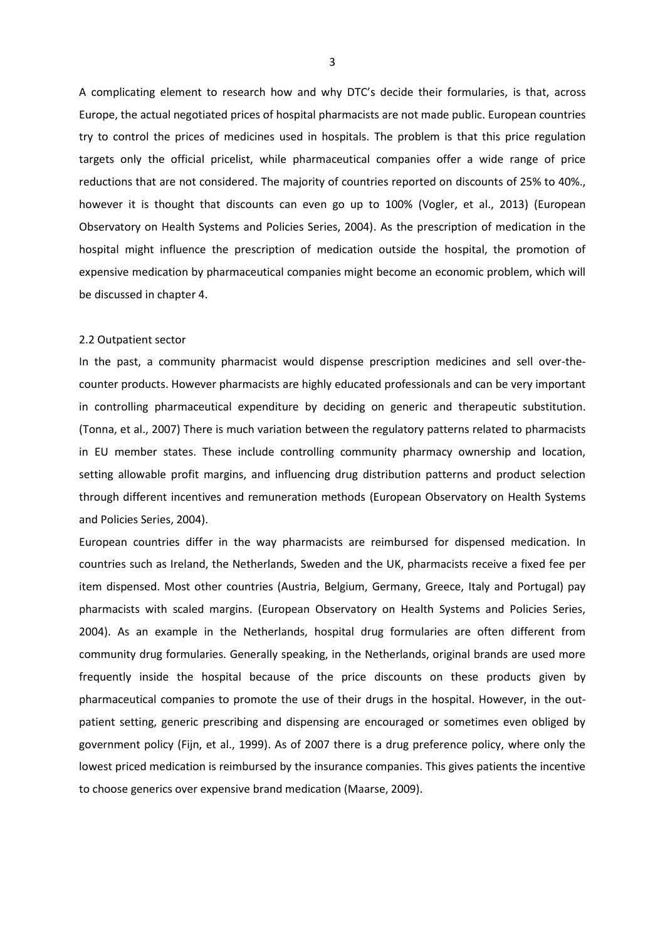A complicating element to research how and why DTC's decide their formularies, is that, across Europe, the actual negotiated prices of hospital pharmacists are not made public. European countries try to control the prices of medicines used in hospitals. The problem is that this price regulation targets only the official pricelist, while pharmaceutical companies offer a wide range of price reductions that are not considered. The majority of countries reported on discounts of 25% to 40%., however it is thought that discounts can even go up to 100% (Vogler, et al., 2013) (European Observatory on Health Systems and Policies Series, 2004). As the prescription of medication in the hospital might influence the prescription of medication outside the hospital, the promotion of expensive medication by pharmaceutical companies might become an economic problem, which will be discussed in chapter 4.

## 2.2 Outpatient sector

In the past, a community pharmacist would dispense prescription medicines and sell over-thecounter products. However pharmacists are highly educated professionals and can be very important in controlling pharmaceutical expenditure by deciding on generic and therapeutic substitution. (Tonna, et al., 2007) There is much variation between the regulatory patterns related to pharmacists in EU member states. These include controlling community pharmacy ownership and location, setting allowable profit margins, and influencing drug distribution patterns and product selection through different incentives and remuneration methods (European Observatory on Health Systems and Policies Series, 2004).

European countries differ in the way pharmacists are reimbursed for dispensed medication. In countries such as Ireland, the Netherlands, Sweden and the UK, pharmacists receive a fixed fee per item dispensed. Most other countries (Austria, Belgium, Germany, Greece, Italy and Portugal) pay pharmacists with scaled margins. (European Observatory on Health Systems and Policies Series, 2004). As an example in the Netherlands, hospital drug formularies are often different from community drug formularies. Generally speaking, in the Netherlands, original brands are used more frequently inside the hospital because of the price discounts on these products given by pharmaceutical companies to promote the use of their drugs in the hospital. However, in the outpatient setting, generic prescribing and dispensing are encouraged or sometimes even obliged by government policy (Fijn, et al., 1999). As of 2007 there is a drug preference policy, where only the lowest priced medication is reimbursed by the insurance companies. This gives patients the incentive to choose generics over expensive brand medication (Maarse, 2009).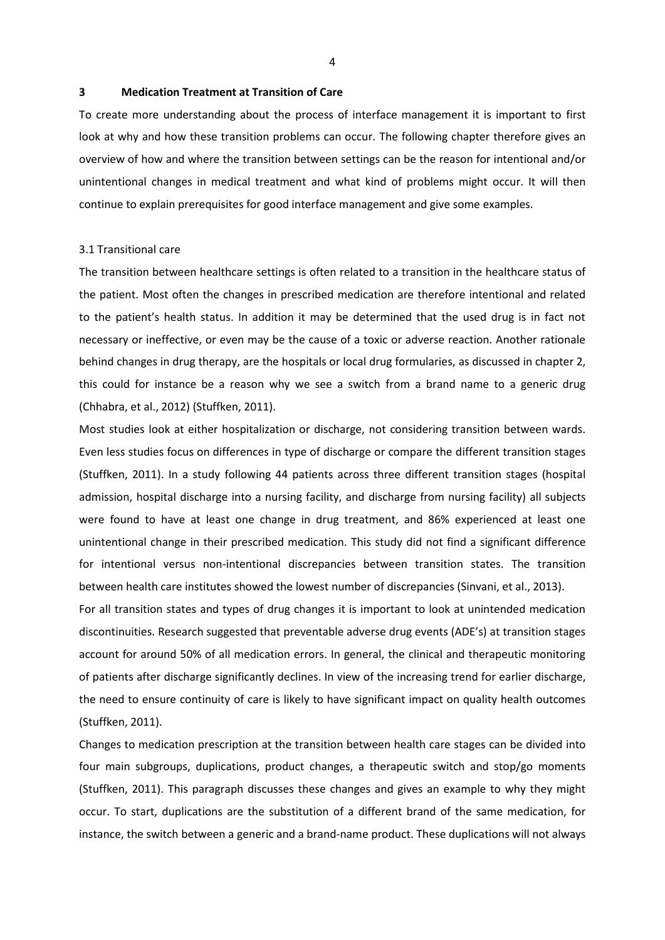## **3 Medication Treatment at Transition of Care**

To create more understanding about the process of interface management it is important to first look at why and how these transition problems can occur. The following chapter therefore gives an overview of how and where the transition between settings can be the reason for intentional and/or unintentional changes in medical treatment and what kind of problems might occur. It will then continue to explain prerequisites for good interface management and give some examples.

## 3.1 Transitional care

The transition between healthcare settings is often related to a transition in the healthcare status of the patient. Most often the changes in prescribed medication are therefore intentional and related to the patient's health status. In addition it may be determined that the used drug is in fact not necessary or ineffective, or even may be the cause of a toxic or adverse reaction. Another rationale behind changes in drug therapy, are the hospitals or local drug formularies, as discussed in chapter 2, this could for instance be a reason why we see a switch from a brand name to a generic drug (Chhabra, et al., 2012) (Stuffken, 2011).

Most studies look at either hospitalization or discharge, not considering transition between wards. Even less studies focus on differences in type of discharge or compare the different transition stages (Stuffken, 2011). In a study following 44 patients across three different transition stages (hospital admission, hospital discharge into a nursing facility, and discharge from nursing facility) all subjects were found to have at least one change in drug treatment, and 86% experienced at least one unintentional change in their prescribed medication. This study did not find a significant difference for intentional versus non-intentional discrepancies between transition states. The transition between health care institutes showed the lowest number of discrepancies (Sinvani, et al., 2013).

For all transition states and types of drug changes it is important to look at unintended medication discontinuities. Research suggested that preventable adverse drug events (ADE's) at transition stages account for around 50% of all medication errors. In general, the clinical and therapeutic monitoring of patients after discharge significantly declines. In view of the increasing trend for earlier discharge, the need to ensure continuity of care is likely to have significant impact on quality health outcomes (Stuffken, 2011).

Changes to medication prescription at the transition between health care stages can be divided into four main subgroups, duplications, product changes, a therapeutic switch and stop/go moments (Stuffken, 2011). This paragraph discusses these changes and gives an example to why they might occur. To start, duplications are the substitution of a different brand of the same medication, for instance, the switch between a generic and a brand-name product. These duplications will not always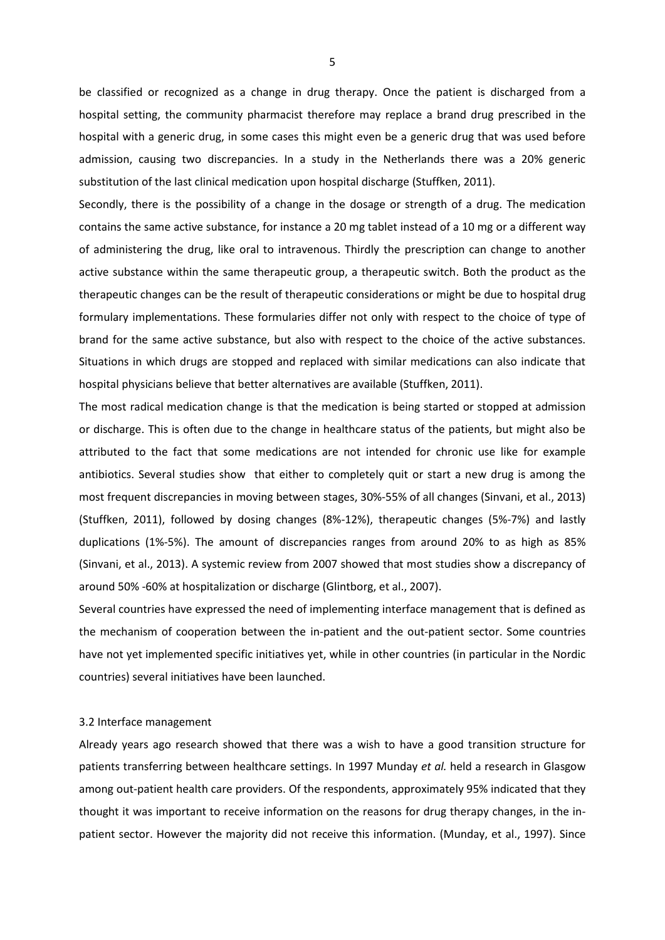be classified or recognized as a change in drug therapy. Once the patient is discharged from a hospital setting, the community pharmacist therefore may replace a brand drug prescribed in the hospital with a generic drug, in some cases this might even be a generic drug that was used before admission, causing two discrepancies. In a study in the Netherlands there was a 20% generic substitution of the last clinical medication upon hospital discharge (Stuffken, 2011).

Secondly, there is the possibility of a change in the dosage or strength of a drug. The medication contains the same active substance, for instance a 20 mg tablet instead of a 10 mg or a different way of administering the drug, like oral to intravenous. Thirdly the prescription can change to another active substance within the same therapeutic group, a therapeutic switch. Both the product as the therapeutic changes can be the result of therapeutic considerations or might be due to hospital drug formulary implementations. These formularies differ not only with respect to the choice of type of brand for the same active substance, but also with respect to the choice of the active substances. Situations in which drugs are stopped and replaced with similar medications can also indicate that hospital physicians believe that better alternatives are available (Stuffken, 2011).

The most radical medication change is that the medication is being started or stopped at admission or discharge. This is often due to the change in healthcare status of the patients, but might also be attributed to the fact that some medications are not intended for chronic use like for example antibiotics. Several studies show that either to completely quit or start a new drug is among the most frequent discrepancies in moving between stages, 30%-55% of all changes (Sinvani, et al., 2013) (Stuffken, 2011), followed by dosing changes (8%-12%), therapeutic changes (5%-7%) and lastly duplications (1%-5%). The amount of discrepancies ranges from around 20% to as high as 85% (Sinvani, et al., 2013). A systemic review from 2007 showed that most studies show a discrepancy of around 50% -60% at hospitalization or discharge (Glintborg, et al., 2007).

Several countries have expressed the need of implementing interface management that is defined as the mechanism of cooperation between the in-patient and the out-patient sector. Some countries have not yet implemented specific initiatives yet, while in other countries (in particular in the Nordic countries) several initiatives have been launched.

## 3.2 Interface management

Already years ago research showed that there was a wish to have a good transition structure for patients transferring between healthcare settings. In 1997 Munday *et al.* held a research in Glasgow among out-patient health care providers. Of the respondents, approximately 95% indicated that they thought it was important to receive information on the reasons for drug therapy changes, in the inpatient sector. However the majority did not receive this information. (Munday, et al., 1997). Since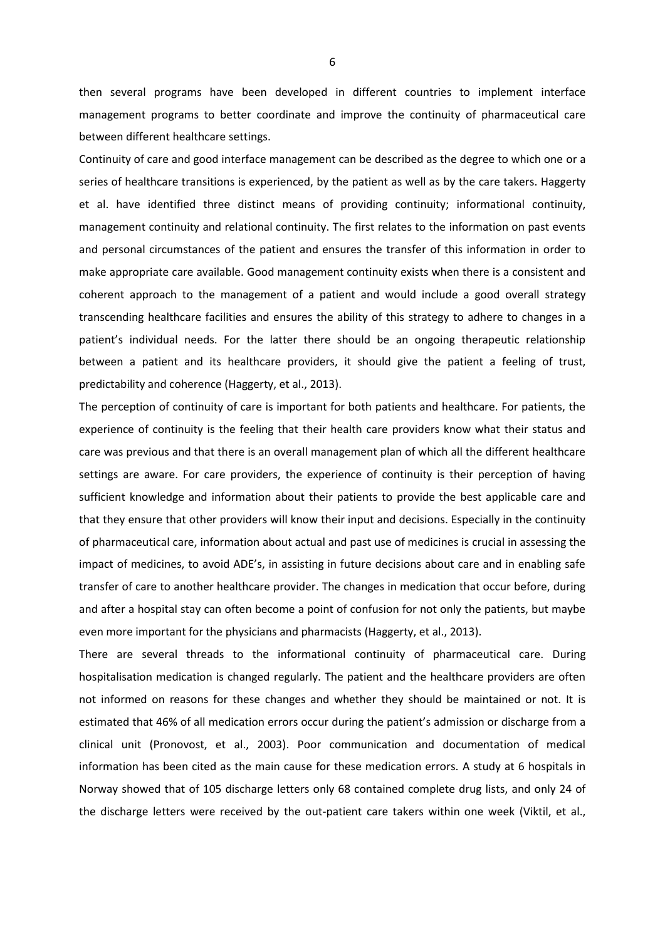then several programs have been developed in different countries to implement interface management programs to better coordinate and improve the continuity of pharmaceutical care between different healthcare settings.

Continuity of care and good interface management can be described as the degree to which one or a series of healthcare transitions is experienced, by the patient as well as by the care takers. Haggerty et al. have identified three distinct means of providing continuity; informational continuity, management continuity and relational continuity. The first relates to the information on past events and personal circumstances of the patient and ensures the transfer of this information in order to make appropriate care available. Good management continuity exists when there is a consistent and coherent approach to the management of a patient and would include a good overall strategy transcending healthcare facilities and ensures the ability of this strategy to adhere to changes in a patient's individual needs. For the latter there should be an ongoing therapeutic relationship between a patient and its healthcare providers, it should give the patient a feeling of trust, predictability and coherence (Haggerty, et al., 2013).

The perception of continuity of care is important for both patients and healthcare. For patients, the experience of continuity is the feeling that their health care providers know what their status and care was previous and that there is an overall management plan of which all the different healthcare settings are aware. For care providers, the experience of continuity is their perception of having sufficient knowledge and information about their patients to provide the best applicable care and that they ensure that other providers will know their input and decisions. Especially in the continuity of pharmaceutical care, information about actual and past use of medicines is crucial in assessing the impact of medicines, to avoid ADE's, in assisting in future decisions about care and in enabling safe transfer of care to another healthcare provider. The changes in medication that occur before, during and after a hospital stay can often become a point of confusion for not only the patients, but maybe even more important for the physicians and pharmacists (Haggerty, et al., 2013).

There are several threads to the informational continuity of pharmaceutical care. During hospitalisation medication is changed regularly. The patient and the healthcare providers are often not informed on reasons for these changes and whether they should be maintained or not. It is estimated that 46% of all medication errors occur during the patient's admission or discharge from a clinical unit (Pronovost, et al., 2003). Poor communication and documentation of medical information has been cited as the main cause for these medication errors. A study at 6 hospitals in Norway showed that of 105 discharge letters only 68 contained complete drug lists, and only 24 of the discharge letters were received by the out-patient care takers within one week (Viktil, et al.,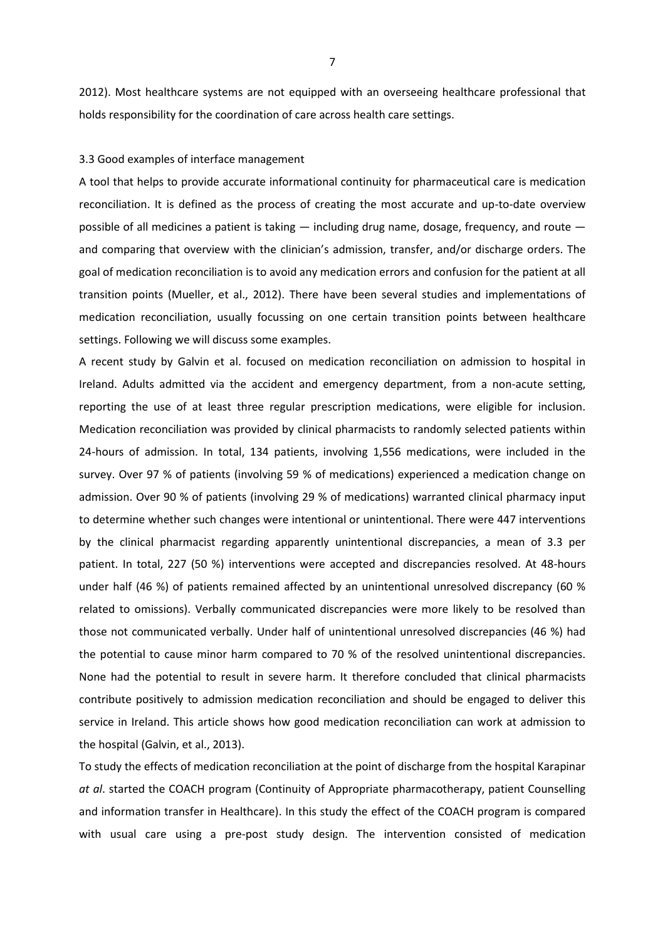2012). Most healthcare systems are not equipped with an overseeing healthcare professional that holds responsibility for the coordination of care across health care settings.

## 3.3 Good examples of interface management

A tool that helps to provide accurate informational continuity for pharmaceutical care is medication reconciliation. It is defined as the process of creating the most accurate and up-to-date overview possible of all medicines a patient is taking — including drug name, dosage, frequency, and route and comparing that overview with the clinician's admission, transfer, and/or discharge orders. The goal of medication reconciliation is to avoid any medication errors and confusion for the patient at all transition points (Mueller, et al., 2012). There have been several studies and implementations of medication reconciliation, usually focussing on one certain transition points between healthcare settings. Following we will discuss some examples.

A recent study by Galvin et al. focused on medication reconciliation on admission to hospital in Ireland. Adults admitted via the accident and emergency department, from a non-acute setting, reporting the use of at least three regular prescription medications, were eligible for inclusion. Medication reconciliation was provided by clinical pharmacists to randomly selected patients within 24-hours of admission. In total, 134 patients, involving 1,556 medications, were included in the survey. Over 97 % of patients (involving 59 % of medications) experienced a medication change on admission. Over 90 % of patients (involving 29 % of medications) warranted clinical pharmacy input to determine whether such changes were intentional or unintentional. There were 447 interventions by the clinical pharmacist regarding apparently unintentional discrepancies, a mean of 3.3 per patient. In total, 227 (50 %) interventions were accepted and discrepancies resolved. At 48-hours under half (46 %) of patients remained affected by an unintentional unresolved discrepancy (60 % related to omissions). Verbally communicated discrepancies were more likely to be resolved than those not communicated verbally. Under half of unintentional unresolved discrepancies (46 %) had the potential to cause minor harm compared to 70 % of the resolved unintentional discrepancies. None had the potential to result in severe harm. It therefore concluded that clinical pharmacists contribute positively to admission medication reconciliation and should be engaged to deliver this service in Ireland. This article shows how good medication reconciliation can work at admission to the hospital (Galvin, et al., 2013).

To study the effects of medication reconciliation at the point of discharge from the hospital Karapinar *at al*. started the COACH program (Continuity of Appropriate pharmacotherapy, patient Counselling and information transfer in Healthcare). In this study the effect of the COACH program is compared with usual care using a pre-post study design. The intervention consisted of medication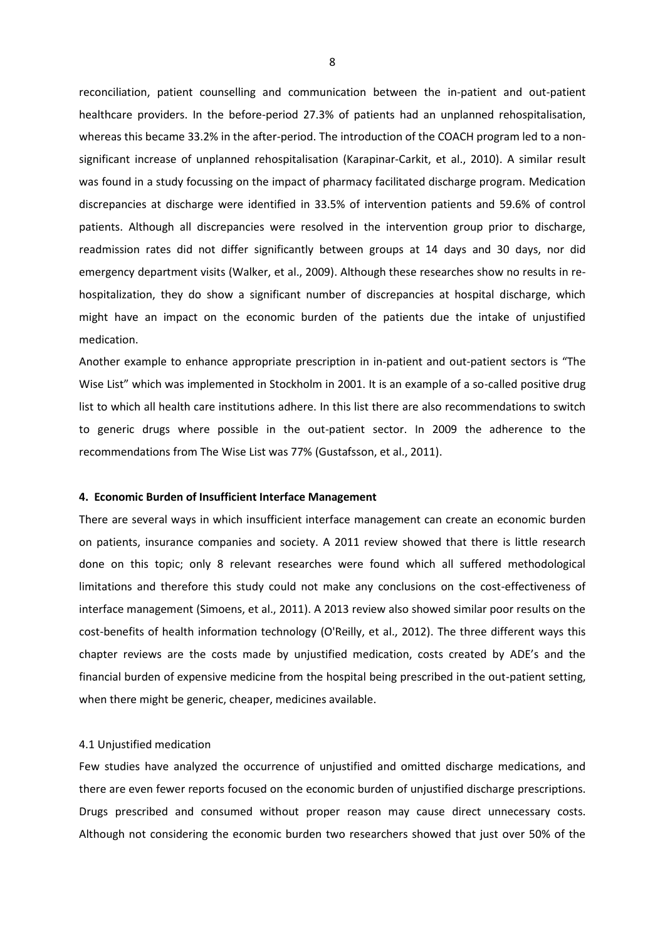reconciliation, patient counselling and communication between the in-patient and out-patient healthcare providers. In the before-period 27.3% of patients had an unplanned rehospitalisation, whereas this became 33.2% in the after-period. The introduction of the COACH program led to a nonsignificant increase of unplanned rehospitalisation (Karapinar-Carkit, et al., 2010). A similar result was found in a study focussing on the impact of pharmacy facilitated discharge program. Medication discrepancies at discharge were identified in 33.5% of intervention patients and 59.6% of control patients. Although all discrepancies were resolved in the intervention group prior to discharge, readmission rates did not differ significantly between groups at 14 days and 30 days, nor did emergency department visits (Walker, et al., 2009). Although these researches show no results in rehospitalization, they do show a significant number of discrepancies at hospital discharge, which might have an impact on the economic burden of the patients due the intake of unjustified medication.

Another example to enhance appropriate prescription in in-patient and out-patient sectors is "The Wise List" which was implemented in Stockholm in 2001. It is an example of a so-called positive drug list to which all health care institutions adhere. In this list there are also recommendations to switch to generic drugs where possible in the out-patient sector. In 2009 the adherence to the recommendations from The Wise List was 77% (Gustafsson, et al., 2011).

## **4. Economic Burden of Insufficient Interface Management**

There are several ways in which insufficient interface management can create an economic burden on patients, insurance companies and society. A 2011 review showed that there is little research done on this topic; only 8 relevant researches were found which all suffered methodological limitations and therefore this study could not make any conclusions on the cost-effectiveness of interface management (Simoens, et al., 2011). A 2013 review also showed similar poor results on the cost-benefits of health information technology (O'Reilly, et al., 2012). The three different ways this chapter reviews are the costs made by unjustified medication, costs created by ADE's and the financial burden of expensive medicine from the hospital being prescribed in the out-patient setting, when there might be generic, cheaper, medicines available.

## 4.1 Unjustified medication

Few studies have analyzed the occurrence of unjustified and omitted discharge medications, and there are even fewer reports focused on the economic burden of unjustified discharge prescriptions. Drugs prescribed and consumed without proper reason may cause direct unnecessary costs. Although not considering the economic burden two researchers showed that just over 50% of the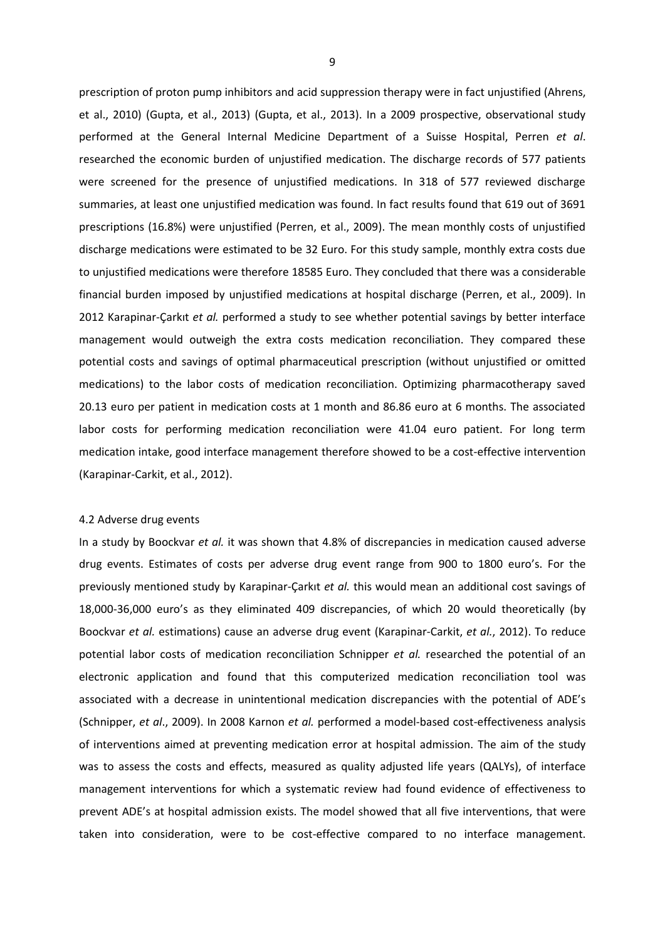prescription of proton pump inhibitors and acid suppression therapy were in fact unjustified (Ahrens, et al., 2010) (Gupta, et al., 2013) (Gupta, et al., 2013). In a 2009 prospective, observational study performed at the General Internal Medicine Department of a Suisse Hospital, Perren *et al*. researched the economic burden of unjustified medication. The discharge records of 577 patients were screened for the presence of unjustified medications. In 318 of 577 reviewed discharge summaries, at least one unjustified medication was found. In fact results found that 619 out of 3691 prescriptions (16.8%) were unjustified (Perren, et al., 2009). The mean monthly costs of unjustified discharge medications were estimated to be 32 Euro. For this study sample, monthly extra costs due to unjustified medications were therefore 18585 Euro. They concluded that there was a considerable financial burden imposed by unjustified medications at hospital discharge (Perren, et al., 2009). In 2012 Karapinar-Çarkıt *et al.* performed a study to see whether potential savings by better interface management would outweigh the extra costs medication reconciliation. They compared these potential costs and savings of optimal pharmaceutical prescription (without unjustified or omitted medications) to the labor costs of medication reconciliation. Optimizing pharmacotherapy saved 20.13 euro per patient in medication costs at 1 month and 86.86 euro at 6 months. The associated labor costs for performing medication reconciliation were 41.04 euro patient. For long term medication intake, good interface management therefore showed to be a cost-effective intervention (Karapinar-Carkit, et al., 2012).

## 4.2 Adverse drug events

In a study by Boockvar *et al.* it was shown that 4.8% of discrepancies in medication caused adverse drug events. Estimates of costs per adverse drug event range from 900 to 1800 euro's. For the previously mentioned study by Karapinar-Çarkıt *et al.* this would mean an additional cost savings of 18,000-36,000 euro's as they eliminated 409 discrepancies, of which 20 would theoretically (by Boockvar *et al.* estimations) cause an adverse drug event (Karapinar-Carkit, *et al.*, 2012). To reduce potential labor costs of medication reconciliation Schnipper *et al.* researched the potential of an electronic application and found that this computerized medication reconciliation tool was associated with a decrease in unintentional medication discrepancies with the potential of ADE's (Schnipper, *et al*., 2009). In 2008 Karnon *et al.* performed a model-based cost-effectiveness analysis of interventions aimed at preventing medication error at hospital admission. The aim of the study was to assess the costs and effects, measured as quality adjusted life years (QALYs), of interface management interventions for which a systematic review had found evidence of effectiveness to prevent ADE's at hospital admission exists. The model showed that all five interventions, that were taken into consideration, were to be cost-effective compared to no interface management.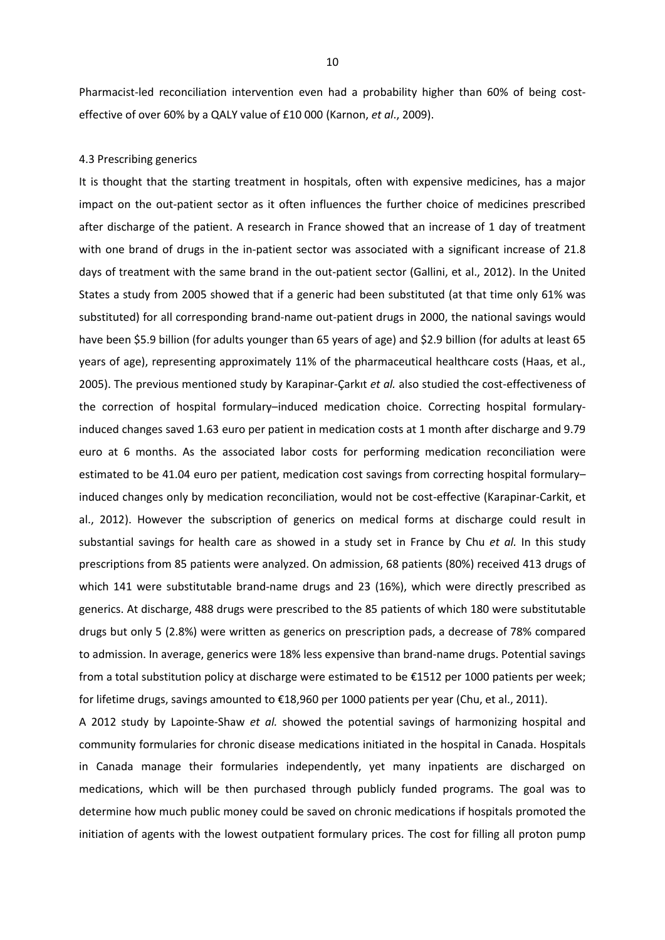Pharmacist-led reconciliation intervention even had a probability higher than 60% of being costeffective of over 60% by a QALY value of £10 000 (Karnon, *et al*., 2009).

## 4.3 Prescribing generics

It is thought that the starting treatment in hospitals, often with expensive medicines, has a major impact on the out-patient sector as it often influences the further choice of medicines prescribed after discharge of the patient. A research in France showed that an increase of 1 day of treatment with one brand of drugs in the in-patient sector was associated with a significant increase of 21.8 days of treatment with the same brand in the out-patient sector (Gallini, et al., 2012). In the United States a study from 2005 showed that if a generic had been substituted (at that time only 61% was substituted) for all corresponding brand-name out-patient drugs in 2000, the national savings would have been \$5.9 billion (for adults younger than 65 years of age) and \$2.9 billion (for adults at least 65 years of age), representing approximately 11% of the pharmaceutical healthcare costs (Haas, et al., 2005). The previous mentioned study by Karapinar-Çarkıt *et al.* also studied the cost-effectiveness of the correction of hospital formulary–induced medication choice. Correcting hospital formularyinduced changes saved 1.63 euro per patient in medication costs at 1 month after discharge and 9.79 euro at 6 months. As the associated labor costs for performing medication reconciliation were estimated to be 41.04 euro per patient, medication cost savings from correcting hospital formulary– induced changes only by medication reconciliation, would not be cost-effective (Karapinar-Carkit, et al., 2012). However the subscription of generics on medical forms at discharge could result in substantial savings for health care as showed in a study set in France by Chu *et al.* In this study prescriptions from 85 patients were analyzed. On admission, 68 patients (80%) received 413 drugs of which 141 were substitutable brand-name drugs and 23 (16%), which were directly prescribed as generics. At discharge, 488 drugs were prescribed to the 85 patients of which 180 were substitutable drugs but only 5 (2.8%) were written as generics on prescription pads, a decrease of 78% compared to admission. In average, generics were 18% less expensive than brand-name drugs. Potential savings from a total substitution policy at discharge were estimated to be €1512 per 1000 patients per week; for lifetime drugs, savings amounted to €18,960 per 1000 patients per year (Chu, et al., 2011).

A 2012 study by Lapointe-Shaw *et al.* showed the potential savings of harmonizing hospital and community formularies for chronic disease medications initiated in the hospital in Canada. Hospitals in Canada manage their formularies independently, yet many inpatients are discharged on medications, which will be then purchased through publicly funded programs. The goal was to determine how much public money could be saved on chronic medications if hospitals promoted the initiation of agents with the lowest outpatient formulary prices. The cost for filling all proton pump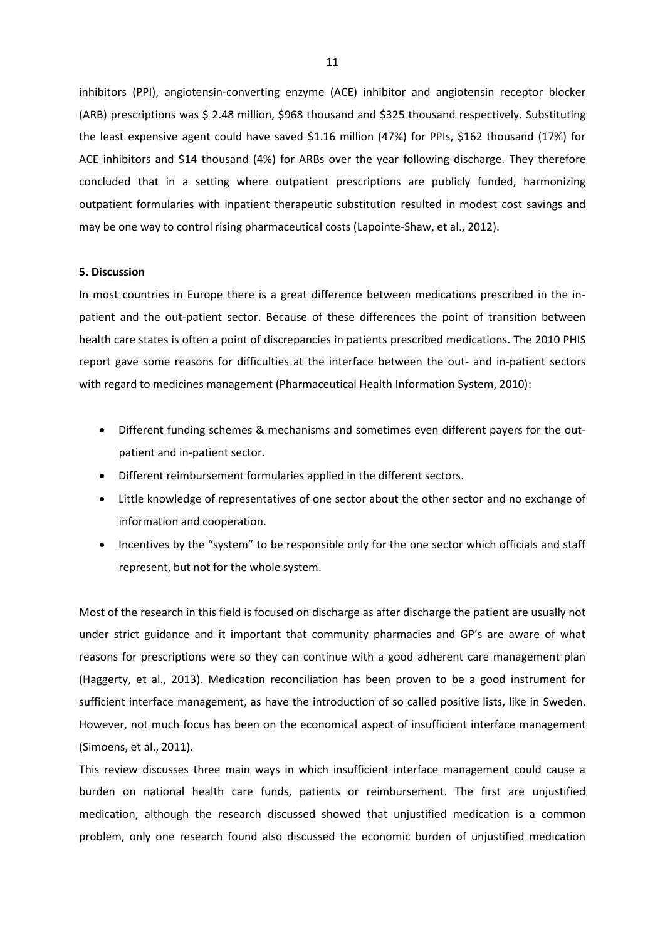inhibitors (PPI), angiotensin-converting enzyme (ACE) inhibitor and angiotensin receptor blocker (ARB) prescriptions was \$ 2.48 million, \$968 thousand and \$325 thousand respectively. Substituting the least expensive agent could have saved \$1.16 million (47%) for PPIs, \$162 thousand (17%) for ACE inhibitors and \$14 thousand (4%) for ARBs over the year following discharge. They therefore concluded that in a setting where outpatient prescriptions are publicly funded, harmonizing outpatient formularies with inpatient therapeutic substitution resulted in modest cost savings and may be one way to control rising pharmaceutical costs (Lapointe-Shaw, et al., 2012).

### **5. Discussion**

In most countries in Europe there is a great difference between medications prescribed in the inpatient and the out-patient sector. Because of these differences the point of transition between health care states is often a point of discrepancies in patients prescribed medications. The 2010 PHIS report gave some reasons for difficulties at the interface between the out- and in-patient sectors with regard to medicines management (Pharmaceutical Health Information System, 2010):

- Different funding schemes & mechanisms and sometimes even different payers for the outpatient and in-patient sector.
- Different reimbursement formularies applied in the different sectors.
- Little knowledge of representatives of one sector about the other sector and no exchange of information and cooperation.
- Incentives by the "system" to be responsible only for the one sector which officials and staff represent, but not for the whole system.

Most of the research in this field is focused on discharge as after discharge the patient are usually not under strict guidance and it important that community pharmacies and GP's are aware of what reasons for prescriptions were so they can continue with a good adherent care management plan (Haggerty, et al., 2013). Medication reconciliation has been proven to be a good instrument for sufficient interface management, as have the introduction of so called positive lists, like in Sweden. However, not much focus has been on the economical aspect of insufficient interface management (Simoens, et al., 2011).

This review discusses three main ways in which insufficient interface management could cause a burden on national health care funds, patients or reimbursement. The first are unjustified medication, although the research discussed showed that unjustified medication is a common problem, only one research found also discussed the economic burden of unjustified medication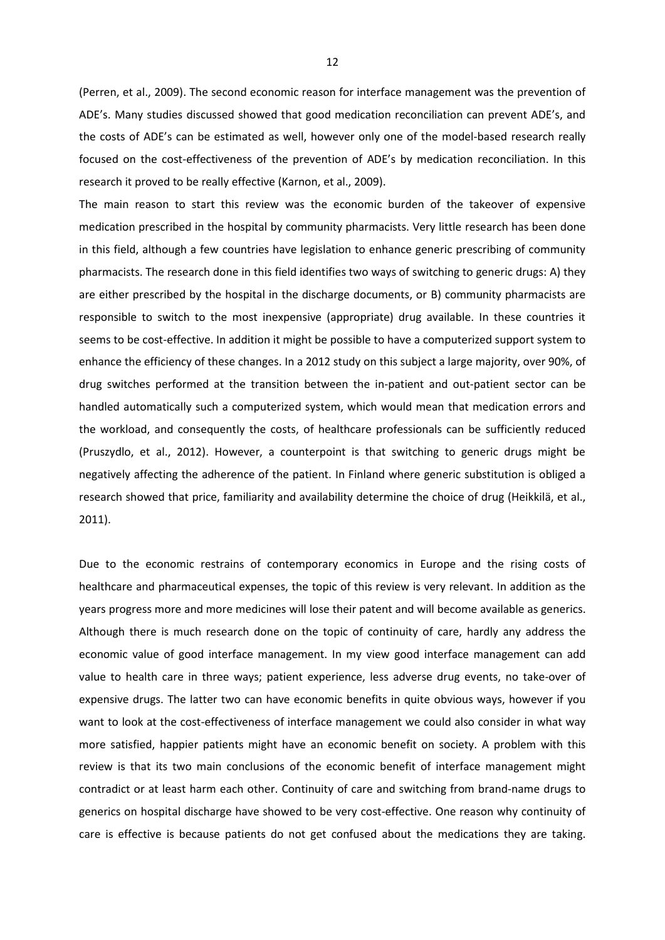(Perren, et al., 2009). The second economic reason for interface management was the prevention of ADE's. Many studies discussed showed that good medication reconciliation can prevent ADE's, and the costs of ADE's can be estimated as well, however only one of the model-based research really focused on the cost-effectiveness of the prevention of ADE's by medication reconciliation. In this research it proved to be really effective (Karnon, et al., 2009).

The main reason to start this review was the economic burden of the takeover of expensive medication prescribed in the hospital by community pharmacists. Very little research has been done in this field, although a few countries have legislation to enhance generic prescribing of community pharmacists. The research done in this field identifies two ways of switching to generic drugs: A) they are either prescribed by the hospital in the discharge documents, or B) community pharmacists are responsible to switch to the most inexpensive (appropriate) drug available. In these countries it seems to be cost-effective. In addition it might be possible to have a computerized support system to enhance the efficiency of these changes. In a 2012 study on this subject a large majority, over 90%, of drug switches performed at the transition between the in-patient and out-patient sector can be handled automatically such a computerized system, which would mean that medication errors and the workload, and consequently the costs, of healthcare professionals can be sufficiently reduced (Pruszydlo, et al., 2012). However, a counterpoint is that switching to generic drugs might be negatively affecting the adherence of the patient. In Finland where generic substitution is obliged a research showed that price, familiarity and availability determine the choice of drug (Heikkilä, et al., 2011).

Due to the economic restrains of contemporary economics in Europe and the rising costs of healthcare and pharmaceutical expenses, the topic of this review is very relevant. In addition as the years progress more and more medicines will lose their patent and will become available as generics. Although there is much research done on the topic of continuity of care, hardly any address the economic value of good interface management. In my view good interface management can add value to health care in three ways; patient experience, less adverse drug events, no take-over of expensive drugs. The latter two can have economic benefits in quite obvious ways, however if you want to look at the cost-effectiveness of interface management we could also consider in what way more satisfied, happier patients might have an economic benefit on society. A problem with this review is that its two main conclusions of the economic benefit of interface management might contradict or at least harm each other. Continuity of care and switching from brand-name drugs to generics on hospital discharge have showed to be very cost-effective. One reason why continuity of care is effective is because patients do not get confused about the medications they are taking.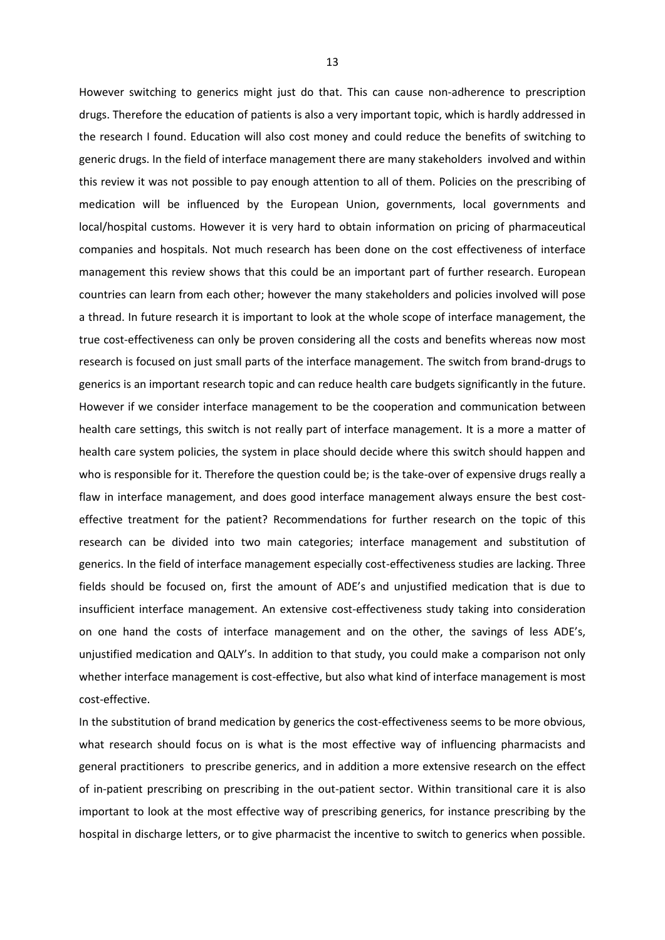However switching to generics might just do that. This can cause non-adherence to prescription drugs. Therefore the education of patients is also a very important topic, which is hardly addressed in the research I found. Education will also cost money and could reduce the benefits of switching to generic drugs. In the field of interface management there are many stakeholders involved and within this review it was not possible to pay enough attention to all of them. Policies on the prescribing of medication will be influenced by the European Union, governments, local governments and local/hospital customs. However it is very hard to obtain information on pricing of pharmaceutical companies and hospitals. Not much research has been done on the cost effectiveness of interface management this review shows that this could be an important part of further research. European countries can learn from each other; however the many stakeholders and policies involved will pose a thread. In future research it is important to look at the whole scope of interface management, the true cost-effectiveness can only be proven considering all the costs and benefits whereas now most research is focused on just small parts of the interface management. The switch from brand-drugs to generics is an important research topic and can reduce health care budgets significantly in the future. However if we consider interface management to be the cooperation and communication between health care settings, this switch is not really part of interface management. It is a more a matter of health care system policies, the system in place should decide where this switch should happen and who is responsible for it. Therefore the question could be; is the take-over of expensive drugs really a flaw in interface management, and does good interface management always ensure the best costeffective treatment for the patient? Recommendations for further research on the topic of this research can be divided into two main categories; interface management and substitution of generics. In the field of interface management especially cost-effectiveness studies are lacking. Three fields should be focused on, first the amount of ADE's and unjustified medication that is due to insufficient interface management. An extensive cost-effectiveness study taking into consideration on one hand the costs of interface management and on the other, the savings of less ADE's, unjustified medication and QALY's. In addition to that study, you could make a comparison not only whether interface management is cost-effective, but also what kind of interface management is most cost-effective.

In the substitution of brand medication by generics the cost-effectiveness seems to be more obvious, what research should focus on is what is the most effective way of influencing pharmacists and general practitioners to prescribe generics, and in addition a more extensive research on the effect of in-patient prescribing on prescribing in the out-patient sector. Within transitional care it is also important to look at the most effective way of prescribing generics, for instance prescribing by the hospital in discharge letters, or to give pharmacist the incentive to switch to generics when possible.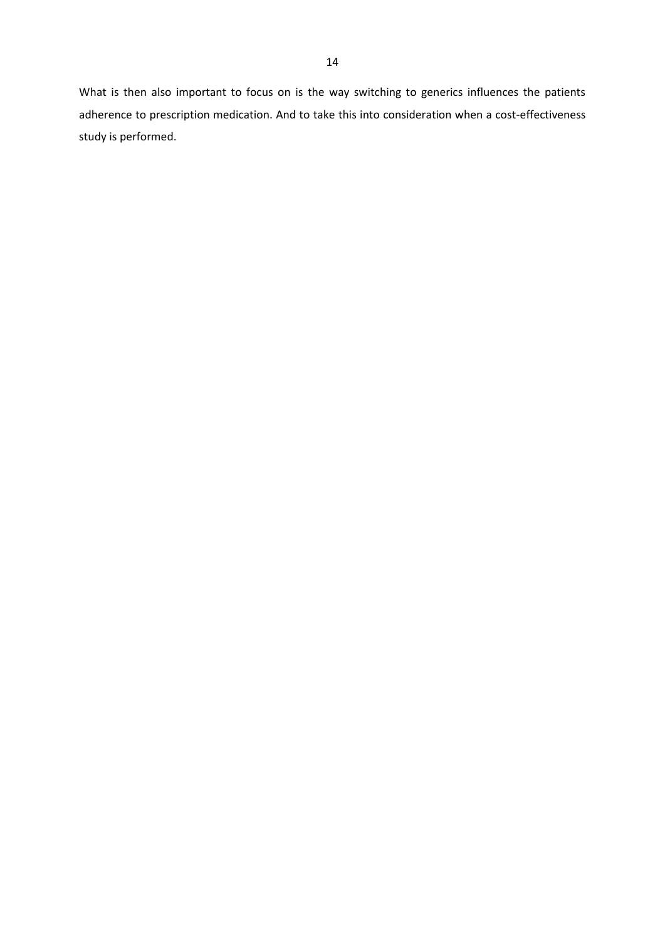What is then also important to focus on is the way switching to generics influences the patients adherence to prescription medication. And to take this into consideration when a cost-effectiveness study is performed.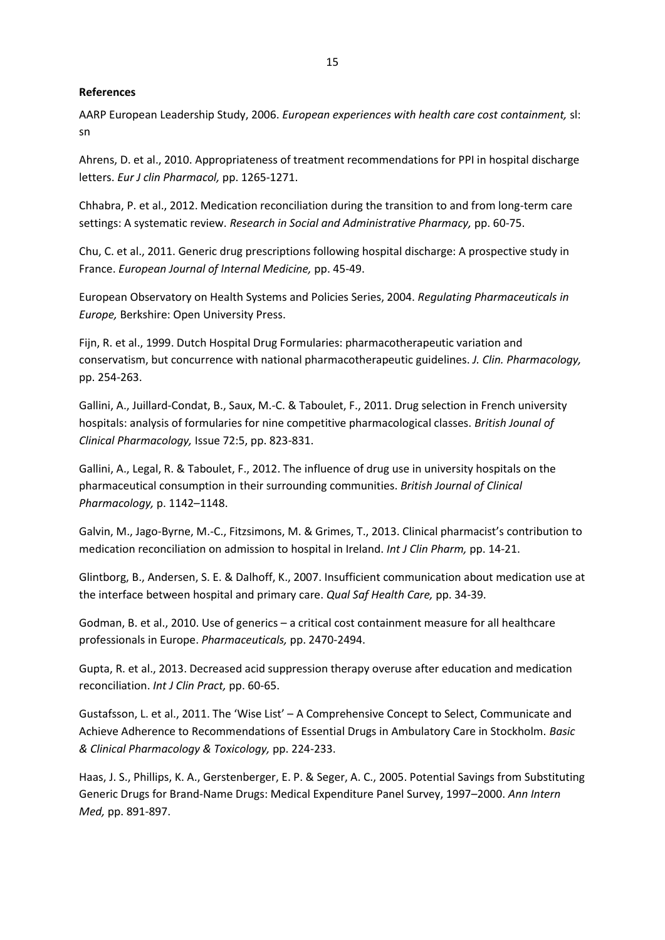## **References**

AARP European Leadership Study, 2006. *European experiences with health care cost containment,* sl: sn

Ahrens, D. et al., 2010. Appropriateness of treatment recommendations for PPI in hospital discharge letters. *Eur J clin Pharmacol,* pp. 1265-1271.

Chhabra, P. et al., 2012. Medication reconciliation during the transition to and from long-term care settings: A systematic review. *Research in Social and Administrative Pharmacy,* pp. 60-75.

Chu, C. et al., 2011. Generic drug prescriptions following hospital discharge: A prospective study in France. *European Journal of Internal Medicine,* pp. 45-49.

European Observatory on Health Systems and Policies Series, 2004. *Regulating Pharmaceuticals in Europe,* Berkshire: Open University Press.

Fijn, R. et al., 1999. Dutch Hospital Drug Formularies: pharmacotherapeutic variation and conservatism, but concurrence with national pharmacotherapeutic guidelines. *J. Clin. Pharmacology,*  pp. 254-263.

Gallini, A., Juillard-Condat, B., Saux, M.-C. & Taboulet, F., 2011. Drug selection in French university hospitals: analysis of formularies for nine competitive pharmacological classes. *British Jounal of Clinical Pharmacology,* Issue 72:5, pp. 823-831.

Gallini, A., Legal, R. & Taboulet, F., 2012. The influence of drug use in university hospitals on the pharmaceutical consumption in their surrounding communities. *British Journal of Clinical Pharmacology,* p. 1142–1148.

Galvin, M., Jago-Byrne, M.-C., Fitzsimons, M. & Grimes, T., 2013. Clinical pharmacist's contribution to medication reconciliation on admission to hospital in Ireland. *Int J Clin Pharm,* pp. 14-21.

Glintborg, B., Andersen, S. E. & Dalhoff, K., 2007. Insufficient communication about medication use at the interface between hospital and primary care. *Qual Saf Health Care,* pp. 34-39.

Godman, B. et al., 2010. Use of generics – a critical cost containment measure for all healthcare professionals in Europe. *Pharmaceuticals,* pp. 2470-2494.

Gupta, R. et al., 2013. Decreased acid suppression therapy overuse after education and medication reconciliation. *Int J Clin Pract,* pp. 60-65.

Gustafsson, L. et al., 2011. The 'Wise List' – A Comprehensive Concept to Select, Communicate and Achieve Adherence to Recommendations of Essential Drugs in Ambulatory Care in Stockholm. *Basic & Clinical Pharmacology & Toxicology,* pp. 224-233.

Haas, J. S., Phillips, K. A., Gerstenberger, E. P. & Seger, A. C., 2005. Potential Savings from Substituting Generic Drugs for Brand-Name Drugs: Medical Expenditure Panel Survey, 1997–2000. *Ann Intern Med,* pp. 891-897.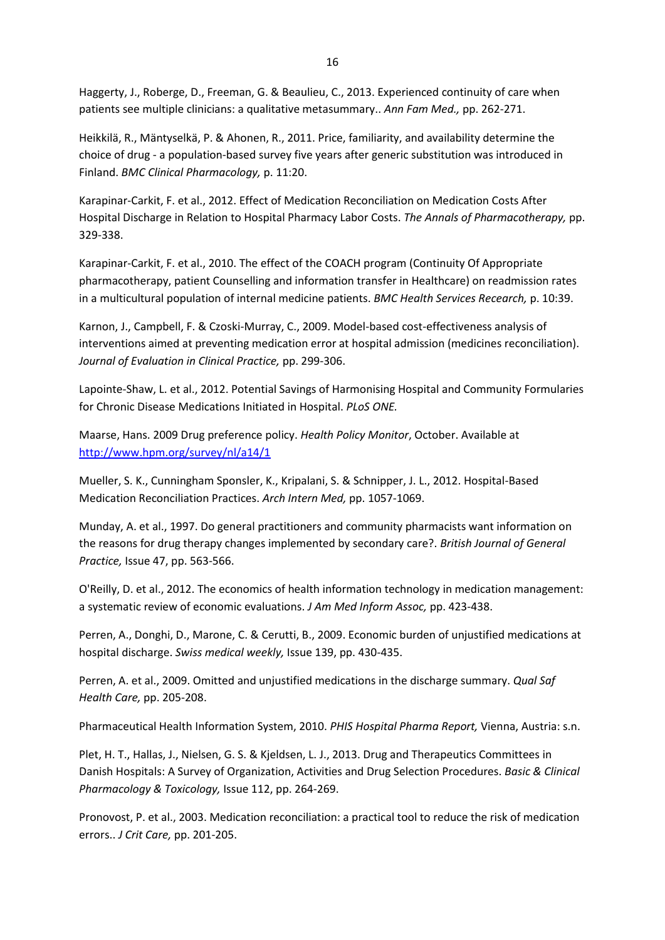Haggerty, J., Roberge, D., Freeman, G. & Beaulieu, C., 2013. Experienced continuity of care when patients see multiple clinicians: a qualitative metasummary.. *Ann Fam Med.,* pp. 262-271.

Heikkilä, R., Mäntyselkä, P. & Ahonen, R., 2011. Price, familiarity, and availability determine the choice of drug - a population-based survey five years after generic substitution was introduced in Finland. *BMC Clinical Pharmacology,* p. 11:20.

Karapinar-Carkit, F. et al., 2012. Effect of Medication Reconciliation on Medication Costs After Hospital Discharge in Relation to Hospital Pharmacy Labor Costs. *The Annals of Pharmacotherapy,* pp. 329-338.

Karapinar-Carkit, F. et al., 2010. The effect of the COACH program (Continuity Of Appropriate pharmacotherapy, patient Counselling and information transfer in Healthcare) on readmission rates in a multicultural population of internal medicine patients. *BMC Health Services Recearch,* p. 10:39.

Karnon, J., Campbell, F. & Czoski-Murray, C., 2009. Model-based cost-effectiveness analysis of interventions aimed at preventing medication error at hospital admission (medicines reconciliation). *Journal of Evaluation in Clinical Practice,* pp. 299-306.

Lapointe-Shaw, L. et al., 2012. Potential Savings of Harmonising Hospital and Community Formularies for Chronic Disease Medications Initiated in Hospital. *PLoS ONE.*

Maarse, Hans. 2009 Drug preference policy. *Health Policy Monitor*, October. Available at [http://www.hpm.org/survey/nl/a14/1](http://hpm.org/en/Surveys/BEOZ_Maastricht_-_Netherlands/14/Drug_preference_policy.html)

Mueller, S. K., Cunningham Sponsler, K., Kripalani, S. & Schnipper, J. L., 2012. Hospital-Based Medication Reconciliation Practices. *Arch Intern Med,* pp. 1057-1069.

Munday, A. et al., 1997. Do general practitioners and community pharmacists want information on the reasons for drug therapy changes implemented by secondary care?. *British Journal of General Practice,* Issue 47, pp. 563-566.

O'Reilly, D. et al., 2012. The economics of health information technology in medication management: a systematic review of economic evaluations. *J Am Med Inform Assoc,* pp. 423-438.

Perren, A., Donghi, D., Marone, C. & Cerutti, B., 2009. Economic burden of unjustified medications at hospital discharge. *Swiss medical weekly,* Issue 139, pp. 430-435.

Perren, A. et al., 2009. Omitted and unjustified medications in the discharge summary. *Qual Saf Health Care,* pp. 205-208.

Pharmaceutical Health Information System, 2010. *PHIS Hospital Pharma Report,* Vienna, Austria: s.n.

Plet, H. T., Hallas, J., Nielsen, G. S. & Kjeldsen, L. J., 2013. Drug and Therapeutics Committees in Danish Hospitals: A Survey of Organization, Activities and Drug Selection Procedures. *Basic & Clinical Pharmacology & Toxicology,* Issue 112, pp. 264-269.

Pronovost, P. et al., 2003. Medication reconciliation: a practical tool to reduce the risk of medication errors.. *J Crit Care,* pp. 201-205.